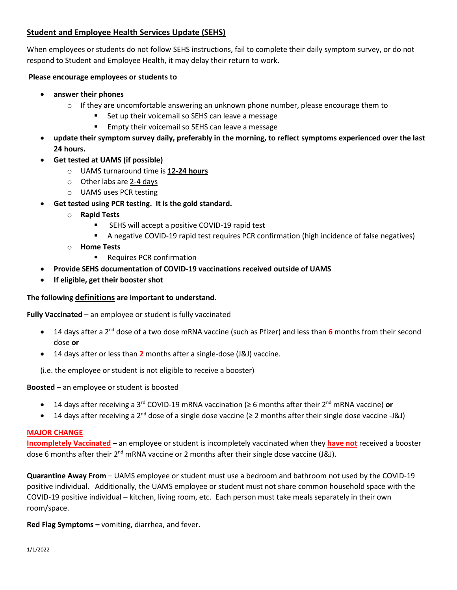# **Student and Employee Health Services Update (SEHS)**

When employees or students do not follow SEHS instructions, fail to complete their daily symptom survey, or do not respond to Student and Employee Health, it may delay their return to work.

## **Please encourage employees or students to**

- **answer their phones**
	- $\circ$  If they are uncomfortable answering an unknown phone number, please encourage them to
		- Set up their voicemail so SEHS can leave a message
		- **Empty their voicemail so SEHS can leave a message**
- **update their symptom survey daily, preferably in the morning, to reflect symptoms experienced over the last 24 hours.**
- **Get tested at UAMS (if possible)**
	- o UAMS turnaround time is **12-24 hours**
	- o Other labs are 2-4 days
	- o UAMS uses PCR testing
- **Get tested using PCR testing. It is the gold standard.**
	- o **Rapid Tests**
		- **EXECTE SEHS will accept a positive COVID-19 rapid test**
		- A negative COVID-19 rapid test requires PCR confirmation (high incidence of false negatives)
	- o **Home Tests**
		- **Requires PCR confirmation**
- **Provide SEHS documentation of COVID-19 vaccinations received outside of UAMS**
- **If eligible, get their booster shot**

## **The following definitions are important to understand.**

**Fully Vaccinated** – an employee or student is fully vaccinated

- 14 days after a 2nd dose of a two dose mRNA vaccine (such as Pfizer) and less than **6** months from their second dose **or**
- 14 days after or less than **2** months after a single-dose (J&J) vaccine.

(i.e. the employee or student is not eligible to receive a booster)

**Boosted** – an employee or student is boosted

- 14 days after receiving a 3rd COVID-19 mRNA vaccination (≥ 6 months after their 2nd mRNA vaccine) **or**
- 14 days after receiving a 2<sup>nd</sup> dose of a single dose vaccine (≥ 2 months after their single dose vaccine -J&J)

#### **MAJOR CHANGE**

**Incompletely Vaccinated –** an employee or student is incompletely vaccinated when they **have not** received a booster dose 6 months after their  $2<sup>nd</sup>$  mRNA vaccine or 2 months after their single dose vaccine (J&J).

**Quarantine Away From** – UAMS employee or student must use a bedroom and bathroom not used by the COVID-19 positive individual. Additionally, the UAMS employee or student must not share common household space with the COVID-19 positive individual – kitchen, living room, etc. Each person must take meals separately in their own room/space.

**Red Flag Symptoms –** vomiting, diarrhea, and fever.